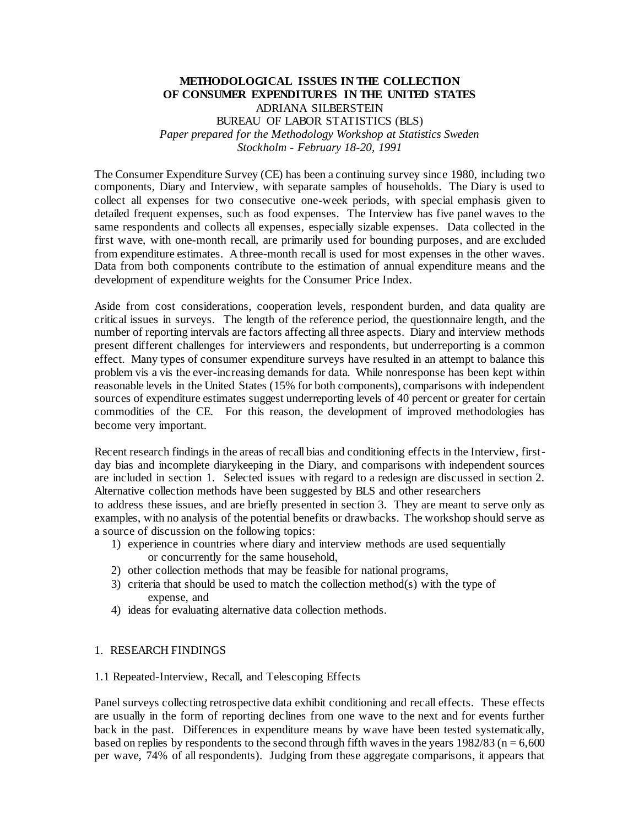## **METHODOLOGICAL ISSUES IN THE COLLECTION OF CONSUMER EXPENDITURES IN THE UNITED STATES** ADRIANA SILBERSTEIN BUREAU OF LABOR STATISTICS (BLS) *Paper prepared for the Methodology Workshop at Statistics Sweden Stockholm - February 18-20, 1991*

The Consumer Expenditure Survey (CE) has been a continuing survey since 1980, including two components, Diary and Interview, with separate samples of households. The Diary is used to collect all expenses for two consecutive one-week periods, with special emphasis given to detailed frequent expenses, such as food expenses. The Interview has five panel waves to the same respondents and collects all expenses, especially sizable expenses. Data collected in the first wave, with one-month recall, are primarily used for bounding purposes, and are excluded from expenditure estimates. A three-month recall is used for most expenses in the other waves. Data from both components contribute to the estimation of annual expenditure means and the development of expenditure weights for the Consumer Price Index.

Aside from cost considerations, cooperation levels, respondent burden, and data quality are critical issues in surveys. The length of the reference period, the questionnaire length, and the number of reporting intervals are factors affecting all three aspects. Diary and interview methods present different challenges for interviewers and respondents, but underreporting is a common effect. Many types of consumer expenditure surveys have resulted in an attempt to balance this problem vis a vis the ever-increasing demands for data. While nonresponse has been kept within reasonable levels in the United States (15% for both components), comparisons with independent sources of expenditure estimates suggest underreporting levels of 40 percent or greater for certain commodities of the CE. For this reason, the development of improved methodologies has become very important.

Recent research findings in the areas of recall bias and conditioning effects in the Interview, firstday bias and incomplete diarykeeping in the Diary, and comparisons with independent sources are included in section 1. Selected issues with regard to a redesign are discussed in section 2. Alternative collection methods have been suggested by BLS and other researchers to address these issues, and are briefly presented in section 3. They are meant to serve only as examples, with no analysis of the potential benefits or drawbacks. The workshop should serve as a source of discussion on the following topics:

- 1) experience in countries where diary and interview methods are used sequentially or concurrently for the same household,
- 2) other collection methods that may be feasible for national programs,
- 3) criteria that should be used to match the collection method(s) with the type of expense, and
- 4) ideas for evaluating alternative data collection methods.

#### 1. RESEARCH FINDINGS

1.1 Repeated-Interview, Recall, and Telescoping Effects

Panel surveys collecting retrospective data exhibit conditioning and recall effects. These effects are usually in the form of reporting declines from one wave to the next and for events further back in the past. Differences in expenditure means by wave have been tested systematically, based on replies by respondents to the second through fifth waves in the years  $1982/83$  (n = 6,600) per wave, 74% of all respondents). Judging from these aggregate comparisons, it appears that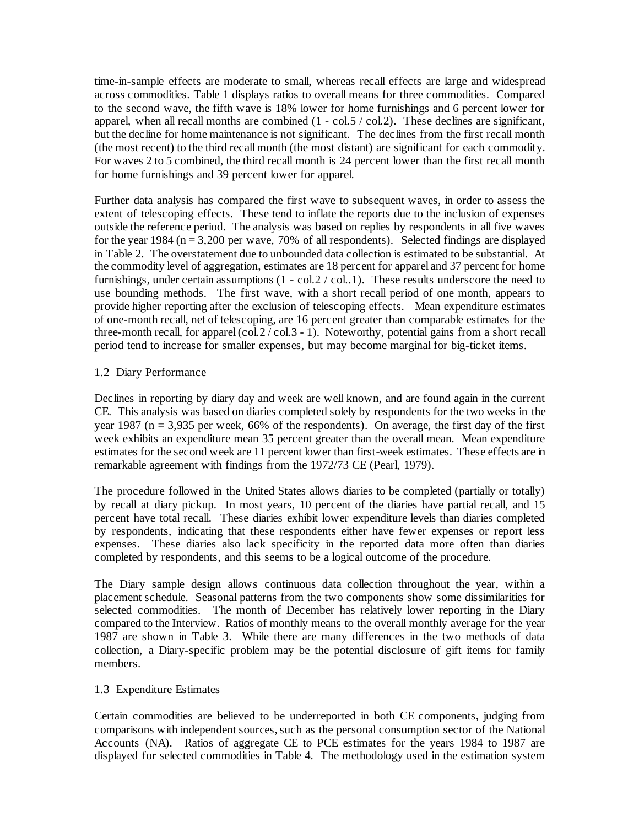time-in-sample effects are moderate to small, whereas recall effects are large and widespread across commodities. Table 1 displays ratios to overall means for three commodities. Compared to the second wave, the fifth wave is 18% lower for home furnishings and 6 percent lower for apparel, when all recall months are combined (1 - col.5 / col.2). These declines are significant, but the decline for home maintenance is not significant. The declines from the first recall month (the most recent) to the third recall month (the most distant) are significant for each commodity. For waves 2 to 5 combined, the third recall month is 24 percent lower than the first recall month for home furnishings and 39 percent lower for apparel.

Further data analysis has compared the first wave to subsequent waves, in order to assess the extent of telescoping effects. These tend to inflate the reports due to the inclusion of expenses outside the reference period. The analysis was based on replies by respondents in all five waves for the year 1984 ( $n = 3,200$  per wave, 70% of all respondents). Selected findings are displayed in Table 2. The overstatement due to unbounded data collection is estimated to be substantial. At the commodity level of aggregation, estimates are 18 percent for apparel and 37 percent for home furnishings, under certain assumptions (1 - col.2 / col..1). These results underscore the need to use bounding methods. The first wave, with a short recall period of one month, appears to provide higher reporting after the exclusion of telescoping effects. Mean expenditure estimates of one-month recall, net of telescoping, are 16 percent greater than comparable estimates for the three-month recall, for apparel (col.2  $\sqrt{c}$  col.3 - 1). Noteworthy, potential gains from a short recall period tend to increase for smaller expenses, but may become marginal for big-ticket items.

## 1.2 Diary Performance

Declines in reporting by diary day and week are well known, and are found again in the current CE. This analysis was based on diaries completed solely by respondents for the two weeks in the year 1987 ( $n = 3,935$  per week, 66% of the respondents). On average, the first day of the first week exhibits an expenditure mean 35 percent greater than the overall mean. Mean expenditure estimates for the second week are 11 percent lower than first-week estimates. These effects are in remarkable agreement with findings from the 1972/73 CE (Pearl, 1979).

The procedure followed in the United States allows diaries to be completed (partially or totally) by recall at diary pickup. In most years, 10 percent of the diaries have partial recall, and 15 percent have total recall. These diaries exhibit lower expenditure levels than diaries completed by respondents, indicating that these respondents either have fewer expenses or report less expenses. These diaries also lack specificity in the reported data more often than diaries completed by respondents, and this seems to be a logical outcome of the procedure.

The Diary sample design allows continuous data collection throughout the year, within a placement schedule. Seasonal patterns from the two components show some dissimilarities for selected commodities. The month of December has relatively lower reporting in the Diary compared to the Interview. Ratios of monthly means to the overall monthly average for the year 1987 are shown in Table 3. While there are many differences in the two methods of data collection, a Diary-specific problem may be the potential disclosure of gift items for family members.

#### 1.3 Expenditure Estimates

Certain commodities are believed to be underreported in both CE components, judging from comparisons with independent sources, such as the personal consumption sector of the National Accounts (NA). Ratios of aggregate CE to PCE estimates for the years 1984 to 1987 are displayed for selected commodities in Table 4. The methodology used in the estimation system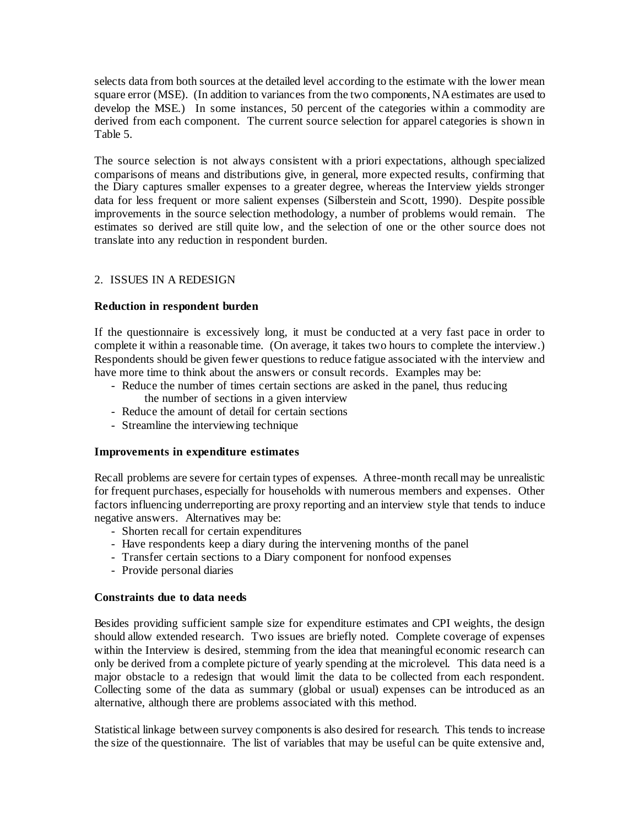selects data from both sources at the detailed level according to the estimate with the lower mean square error (MSE). (In addition to variances from the two components, NA estimates are used to develop the MSE.) In some instances, 50 percent of the categories within a commodity are derived from each component. The current source selection for apparel categories is shown in Table 5.

The source selection is not always consistent with a priori expectations, although specialized comparisons of means and distributions give, in general, more expected results, confirming that the Diary captures smaller expenses to a greater degree, whereas the Interview yields stronger data for less frequent or more salient expenses (Silberstein and Scott, 1990). Despite possible improvements in the source selection methodology, a number of problems would remain. The estimates so derived are still quite low, and the selection of one or the other source does not translate into any reduction in respondent burden.

#### 2. ISSUES IN A REDESIGN

#### **Reduction in respondent burden**

If the questionnaire is excessively long, it must be conducted at a very fast pace in order to complete it within a reasonable time. (On average, it takes two hours to complete the interview.) Respondents should be given fewer questions to reduce fatigue associated with the interview and have more time to think about the answers or consult records. Examples may be:

- Reduce the number of times certain sections are asked in the panel, thus reducing the number of sections in a given interview
- Reduce the amount of detail for certain sections
- Streamline the interviewing technique

#### **Improvements in expenditure estimates**

Recall problems are severe for certain types of expenses. A three-month recall may be unrealistic for frequent purchases, especially for households with numerous members and expenses. Other factors influencing underreporting are proxy reporting and an interview style that tends to induce negative answers. Alternatives may be:

- Shorten recall for certain expenditures
- Have respondents keep a diary during the intervening months of the panel
- Transfer certain sections to a Diary component for nonfood expenses
- Provide personal diaries

#### **Constraints due to data needs**

Besides providing sufficient sample size for expenditure estimates and CPI weights, the design should allow extended research. Two issues are briefly noted. Complete coverage of expenses within the Interview is desired, stemming from the idea that meaningful economic research can only be derived from a complete picture of yearly spending at the microlevel. This data need is a major obstacle to a redesign that would limit the data to be collected from each respondent. Collecting some of the data as summary (global or usual) expenses can be introduced as an alternative, although there are problems associated with this method.

Statistical linkage between survey components is also desired for research. This tends to increase the size of the questionnaire. The list of variables that may be useful can be quite extensive and,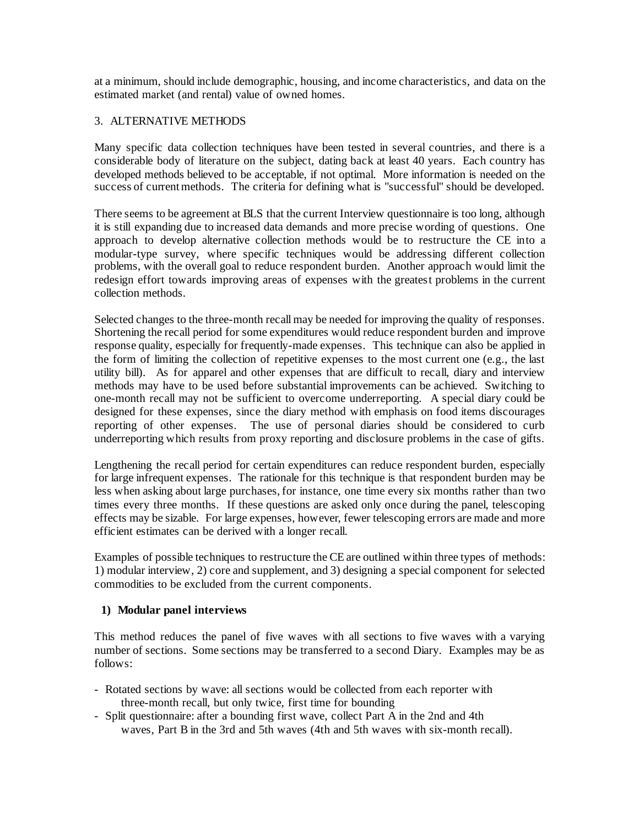at a minimum, should include demographic, housing, and income characteristics, and data on the estimated market (and rental) value of owned homes.

## 3. ALTERNATIVE METHODS

Many specific data collection techniques have been tested in several countries, and there is a considerable body of literature on the subject, dating back at least 40 years. Each country has developed methods believed to be acceptable, if not optimal. More information is needed on the success of current methods. The criteria for defining what is "successful" should be developed.

There seems to be agreement at BLS that the current Interview questionnaire is too long, although it is still expanding due to increased data demands and more precise wording of questions. One approach to develop alternative collection methods would be to restructure the CE into a modular-type survey, where specific techniques would be addressing different collection problems, with the overall goal to reduce respondent burden. Another approach would limit the redesign effort towards improving areas of expenses with the greatest problems in the current collection methods.

Selected changes to the three-month recall may be needed for improving the quality of responses. Shortening the recall period for some expenditures would reduce respondent burden and improve response quality, especially for frequently-made expenses. This technique can also be applied in the form of limiting the collection of repetitive expenses to the most current one (e.g., the last utility bill). As for apparel and other expenses that are difficult to recall, diary and interview methods may have to be used before substantial improvements can be achieved. Switching to one-month recall may not be sufficient to overcome underreporting. A special diary could be designed for these expenses, since the diary method with emphasis on food items discourages reporting of other expenses. The use of personal diaries should be considered to curb underreporting which results from proxy reporting and disclosure problems in the case of gifts.

Lengthening the recall period for certain expenditures can reduce respondent burden, especially for large infrequent expenses. The rationale for this technique is that respondent burden may be less when asking about large purchases, for instance, one time every six months rather than two times every three months. If these questions are asked only once during the panel, telescoping effects may be sizable. For large expenses, however, fewer telescoping errors are made and more efficient estimates can be derived with a longer recall.

Examples of possible techniques to restructure the CE are outlined within three types of methods: 1) modular interview, 2) core and supplement, and 3) designing a special component for selected commodities to be excluded from the current components.

#### **1) Modular panel interviews**

This method reduces the panel of five waves with all sections to five waves with a varying number of sections. Some sections may be transferred to a second Diary. Examples may be as follows:

- Rotated sections by wave: all sections would be collected from each reporter with three-month recall, but only twice, first time for bounding
- Split questionnaire: after a bounding first wave, collect Part A in the 2nd and 4th waves, Part B in the 3rd and 5th waves (4th and 5th waves with six-month recall).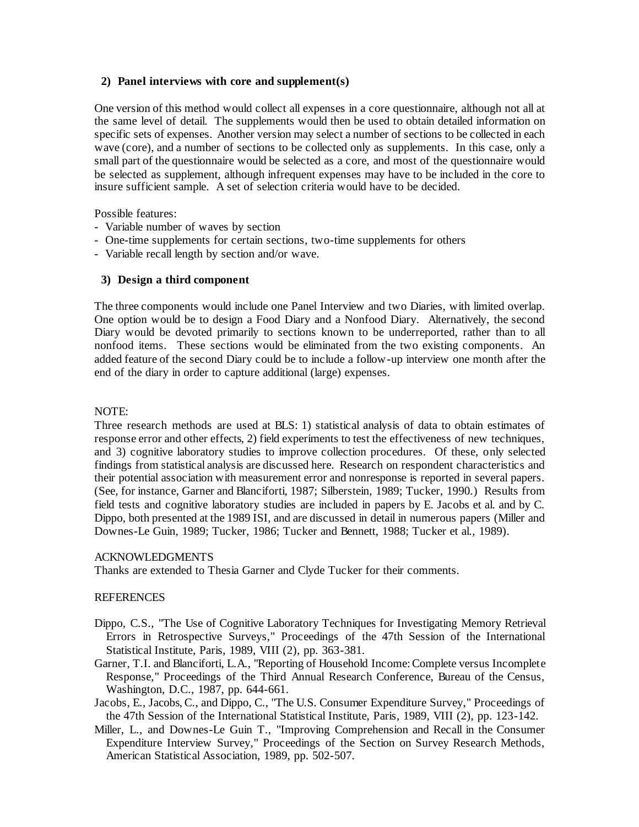#### **2) Panel interviews with core and supplement(s)**

One version of this method would collect all expenses in a core questionnaire, although not all at the same level of detail. The supplements would then be used to obtain detailed information on specific sets of expenses. Another version may select a number of sections to be collected in each wave (core), and a number of sections to be collected only as supplements. In this case, only a small part of the questionnaire would be selected as a core, and most of the questionnaire would be selected as supplement, although infrequent expenses may have to be included in the core to insure sufficient sample. A set of selection criteria would have to be decided.

Possible features:

- Variable number of waves by section
- One-time supplements for certain sections, two-time supplements for others
- Variable recall length by section and/or wave.

#### **3) Design a third component**

The three components would include one Panel Interview and two Diaries, with limited overlap. One option would be to design a Food Diary and a Nonfood Diary. Alternatively, the second Diary would be devoted primarily to sections known to be underreported, rather than to all nonfood items. These sections would be eliminated from the two existing components. An added feature of the second Diary could be to include a follow-up interview one month after the end of the diary in order to capture additional (large) expenses.

#### NOTE:

Three research methods are used at BLS: 1) statistical analysis of data to obtain estimates of response error and other effects, 2) field experiments to test the effectiveness of new techniques, and 3) cognitive laboratory studies to improve collection procedures. Of these, only selected findings from statistical analysis are discussed here. Research on respondent characteristics and their potential association with measurement error and nonresponse is reported in several papers. (See, for instance, Garner and Blanciforti, 1987; Silberstein, 1989; Tucker, 1990.) Results from field tests and cognitive laboratory studies are included in papers by E. Jacobs et al. and by C. Dippo, both presented at the 1989 ISI, and are discussed in detail in numerous papers (Miller and Downes-Le Guin, 1989; Tucker, 1986; Tucker and Bennett, 1988; Tucker et al., 1989).

#### ACKNOWLEDGMENTS

Thanks are extended to Thesia Garner and Clyde Tucker for their comments.

#### REFERENCES

- Dippo, C.S., "The Use of Cognitive Laboratory Techniques for Investigating Memory Retrieval Errors in Retrospective Surveys," Proceedings of the 47th Session of the International Statistical Institute, Paris, 1989, VIII (2), pp. 363-381.
- Garner, T.I. and Blanciforti, L.A., "Reporting of Household Income: Complete versus Incomplete Response," Proceedings of the Third Annual Research Conference, Bureau of the Census, Washington, D.C., 1987, pp. 644-661.
- Jacobs, E., Jacobs, C., and Dippo, C., "The U.S. Consumer Expenditure Survey," Proceedings of the 47th Session of the International Statistical Institute, Paris, 1989, VIII (2), pp. 123-142.
- Miller, L., and Downes-Le Guin T., "Improving Comprehension and Recall in the Consumer Expenditure Interview Survey," Proceedings of the Section on Survey Research Methods, American Statistical Association, 1989, pp. 502-507.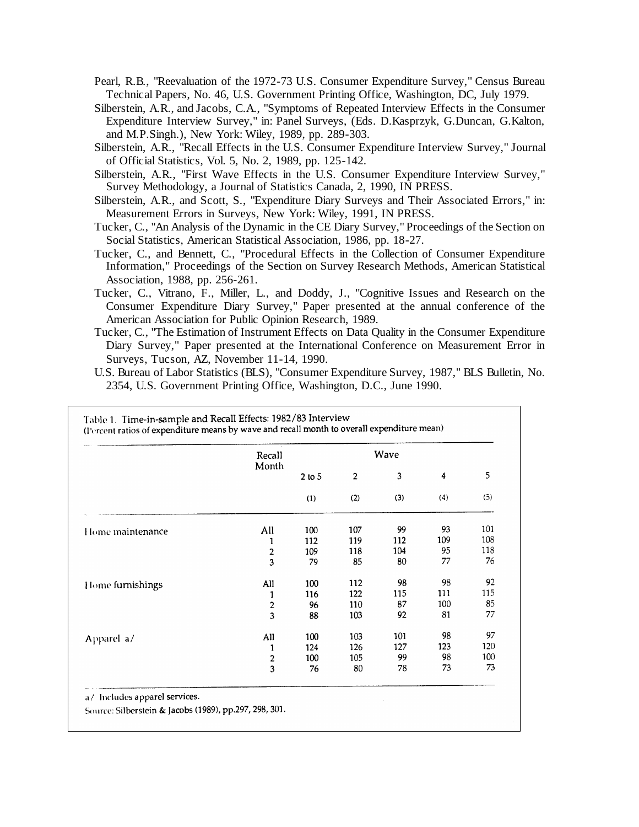- Pearl, R.B., "Reevaluation of the 1972-73 U.S. Consumer Expenditure Survey," Census Bureau Technical Papers, No. 46, U.S. Government Printing Office, Washington, DC, July 1979.
- Silberstein, A.R., and Jacobs, C.A., "Symptoms of Repeated Interview Effects in the Consumer Expenditure Interview Survey," in: Panel Surveys, (Eds. D.Kasprzyk, G.Duncan, G.Kalton, and M.P.Singh.), New York: Wiley, 1989, pp. 289-303.
- Silberstein, A.R., "Recall Effects in the U.S. Consumer Expenditure Interview Survey," Journal of Official Statistics, Vol. 5, No. 2, 1989, pp. 125-142.
- Silberstein, A.R., "First Wave Effects in the U.S. Consumer Expenditure Interview Survey," Survey Methodology, a Journal of Statistics Canada, 2, 1990, IN PRESS.
- Silberstein, A.R., and Scott, S., "Expenditure Diary Surveys and Their Associated Errors," in: Measurement Errors in Surveys, New York: Wiley, 1991, IN PRESS.
- Tucker, C., "An Analysis of the Dynamic in the CE Diary Survey," Proceedings of the Section on Social Statistics, American Statistical Association, 1986, pp. 18-27.
- Tucker, C., and Bennett, C., "Procedural Effects in the Collection of Consumer Expenditure Information," Proceedings of the Section on Survey Research Methods, American Statistical Association, 1988, pp. 256-261.
- Tucker, C., Vitrano, F., Miller, L., and Doddy, J., "Cognitive Issues and Research on the Consumer Expenditure Diary Survey," Paper presented at the annual conference of the American Association for Public Opinion Research, 1989.
- Tucker, C., "The Estimation of Instrument Effects on Data Quality in the Consumer Expenditure Diary Survey," Paper presented at the International Conference on Measurement Error in Surveys, Tucson, AZ, November 11-14, 1990.
- U.S. Bureau of Labor Statistics (BLS), "Consumer Expenditure Survey, 1987," BLS Bulletin, No. 2354, U.S. Government Printing Office, Washington, D.C., June 1990.

|                  | Recall<br>Month         |                 | Wave                  |          |                                |          |
|------------------|-------------------------|-----------------|-----------------------|----------|--------------------------------|----------|
|                  |                         | $2$ to 5<br>(1) | $\overline{2}$<br>(2) | 3<br>(3) | $\overline{\mathbf{4}}$<br>(4) | 5<br>(5) |
|                  |                         |                 |                       |          |                                |          |
| Home maintenance | All                     | 100             | 107                   | 99       | 93                             | 101      |
|                  | 1                       | 112             | 119                   | 112      | 109                            | 108      |
|                  | $\overline{\mathbf{c}}$ | 109             | 118                   | 104      | 95                             | 118      |
|                  | $\overline{\mathbf{3}}$ | 79              | 85                    | 80       | 77                             | 76       |
| Home furnishings | All                     | 100             | 112                   | 98       | 98                             | 92       |
|                  | 1                       | 116             | 122                   | 115      | 111                            | 115      |
|                  | $\overline{\mathbf{c}}$ | 96              | 110                   | 87       | 100                            | 85       |
|                  | $\overline{\mathbf{3}}$ | 88              | 103                   | 92       | 81                             | 77       |
| Apparel a/       | All                     | 100             | 103                   | 101      | 98                             | 97       |
|                  | 1                       | 124             | 126                   | 127      | 123                            | 120      |
|                  |                         | 100             | 105                   | 99       | 98                             | 100      |
|                  | $\frac{2}{3}$           | 76              | 80                    | 78       | 73                             | 73       |

Source: Silberstein & Jacobs (1989), pp.297, 298, 301.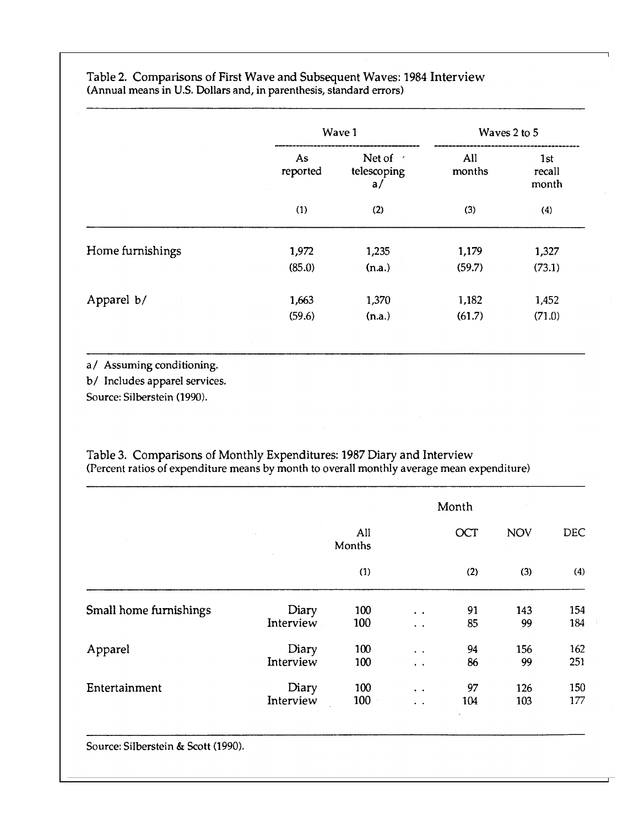|                  |                | Wave 1                        |               | Waves 2 to 5           |
|------------------|----------------|-------------------------------|---------------|------------------------|
|                  | As<br>reported | Net of /<br>telescoping<br>a/ | All<br>months | 1st<br>recall<br>month |
|                  | (1)            | (2)                           | (3)           | (4)                    |
| Home furnishings | 1,972          | 1,235                         | 1,179         | 1,327                  |
|                  | (85.0)         | (n.a.)                        | (59.7)        | (73.1)                 |
| Apparel b/       | 1,663          | 1,370                         | 1,182         | 1,452                  |
|                  | (59.6)         | (n.a.)                        | (61.7)        | (71.0)                 |

## Table 2. Comparisons of First Wave and Subsequent Waves: 1984 Interview (Annual means in U.S. Dollars and, in parenthesis, standard errors)

a/ Assuming conditioning.

b/ Includes apparel services.

Source: Silberstein (1990).

# Table 3. Comparisons of Monthly Expenditures: 1987 Diary and Interview<br>(Percent ratios of expenditure means by month to overall monthly average mean expenditure)

|                        |           |               | Month                 |     |            |            |  |  |
|------------------------|-----------|---------------|-----------------------|-----|------------|------------|--|--|
|                        |           | All<br>Months |                       | OCT | <b>NOV</b> | <b>DEC</b> |  |  |
|                        |           | (1)           |                       | (2) | (3)        | (4)        |  |  |
| Small home furnishings | Diary     | 100           | $\bullet$ . $\bullet$ | 91  | 143        | 154        |  |  |
|                        | Interview | 100           | $\ddotsc$             | 85  | 99         | 184        |  |  |
| Apparel                | Diary     | 100           | $\bullet$ . $\bullet$ | 94  | 156        | 162        |  |  |
|                        | Interview | 100           | $\ddot{\phantom{1}}$  | 86  | 99         | 251        |  |  |
| Entertainment          | Diary     | 100           | $\bullet$ . $\bullet$ | 97  | 126        | 150        |  |  |
|                        | Interview | 100           | $\ddot{\phantom{a}}$  | 104 | 103        | 177        |  |  |

Source: Silberstein & Scott (1990).